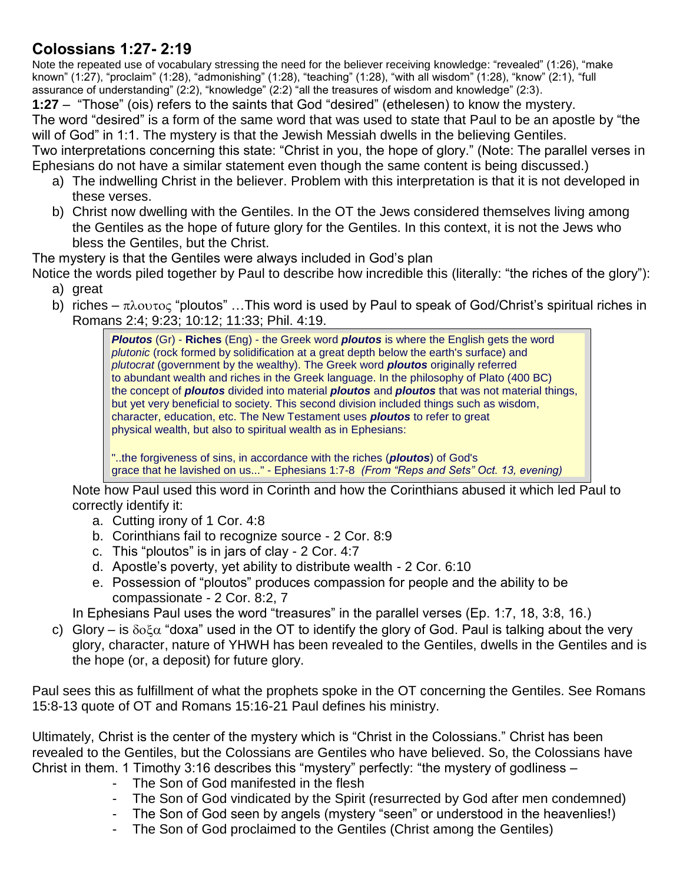## **Colossians 1:27- 2:19**

Note the repeated use of vocabulary stressing the need for the believer receiving knowledge: "revealed" (1:26), "make known" (1:27), "proclaim" (1:28), "admonishing" (1:28), "teaching" (1:28), "with all wisdom" (1:28), "know" (2:1), "full assurance of understanding" (2:2), "knowledge" (2:2) "all the treasures of wisdom and knowledge" (2:3).

**1:27** – "Those" (ois) refers to the saints that God "desired" (ethelesen) to know the mystery.

The word "desired" is a form of the same word that was used to state that Paul to be an apostle by "the will of God" in 1:1. The mystery is that the Jewish Messiah dwells in the believing Gentiles.

Two interpretations concerning this state: "Christ in you, the hope of glory." (Note: The parallel verses in Ephesians do not have a similar statement even though the same content is being discussed.)

- a) The indwelling Christ in the believer. Problem with this interpretation is that it is not developed in these verses.
- b) Christ now dwelling with the Gentiles. In the OT the Jews considered themselves living among the Gentiles as the hope of future glory for the Gentiles. In this context, it is not the Jews who bless the Gentiles, but the Christ.

The mystery is that the Gentiles were always included in God's plan

- Notice the words piled together by Paul to describe how incredible this (literally: "the riches of the glory"): a) great
	- b) riches  $\pi\lambda$ ovtoc "ploutos" ... This word is used by Paul to speak of God/Christ's spiritual riches in Romans 2:4; 9:23; 10:12; 11:33; Phil. 4:19.

*Ploutos* (Gr) - **Riches** (Eng) - the Greek word *ploutos* is where the English gets the word *plutonic* (rock formed by solidification at a great depth below the earth's surface) and *plutocrat* (government by the wealthy). The Greek word *ploutos* originally referred to abundant wealth and riches in the Greek language. In the philosophy of Plato (400 BC) the concept of *ploutos* divided into material *ploutos* and *ploutos* that was not material things, but yet very beneficial to society. This second division included things such as wisdom, character, education, etc. The New Testament uses *ploutos* to refer to great physical wealth, but also to spiritual wealth as in Ephesians:

"..the forgiveness of sins, in accordance with the riches (*ploutos*) of God's grace that he lavished on us..." - Ephesians 1:7-8 *(From "Reps and Sets" Oct. 13, evening)*

Note how Paul used this word in Corinth and how the Corinthians abused it which led Paul to correctly identify it:

- a. Cutting irony of 1 Cor. 4:8
- b. Corinthians fail to recognize source 2 Cor. 8:9
- c. This "ploutos" is in jars of clay 2 Cor. 4:7
- d. Apostle's poverty, yet ability to distribute wealth 2 Cor. 6:10
- e. Possession of "ploutos" produces compassion for people and the ability to be compassionate - 2 Cor. 8:2, 7

In Ephesians Paul uses the word "treasures" in the parallel verses (Ep. 1:7, 18, 3:8, 16.)

c) Glory – is  $\delta$ <sup>-</sup> doxa" used in the OT to identify the glory of God. Paul is talking about the very glory, character, nature of YHWH has been revealed to the Gentiles, dwells in the Gentiles and is the hope (or, a deposit) for future glory.

Paul sees this as fulfillment of what the prophets spoke in the OT concerning the Gentiles. See Romans 15:8-13 quote of OT and Romans 15:16-21 Paul defines his ministry.

Ultimately, Christ is the center of the mystery which is "Christ in the Colossians." Christ has been revealed to the Gentiles, but the Colossians are Gentiles who have believed. So, the Colossians have Christ in them. 1 Timothy 3:16 describes this "mystery" perfectly: "the mystery of godliness –

- The Son of God manifested in the flesh
- The Son of God vindicated by the Spirit (resurrected by God after men condemned)
- The Son of God seen by angels (mystery "seen" or understood in the heavenlies!)
- The Son of God proclaimed to the Gentiles (Christ among the Gentiles)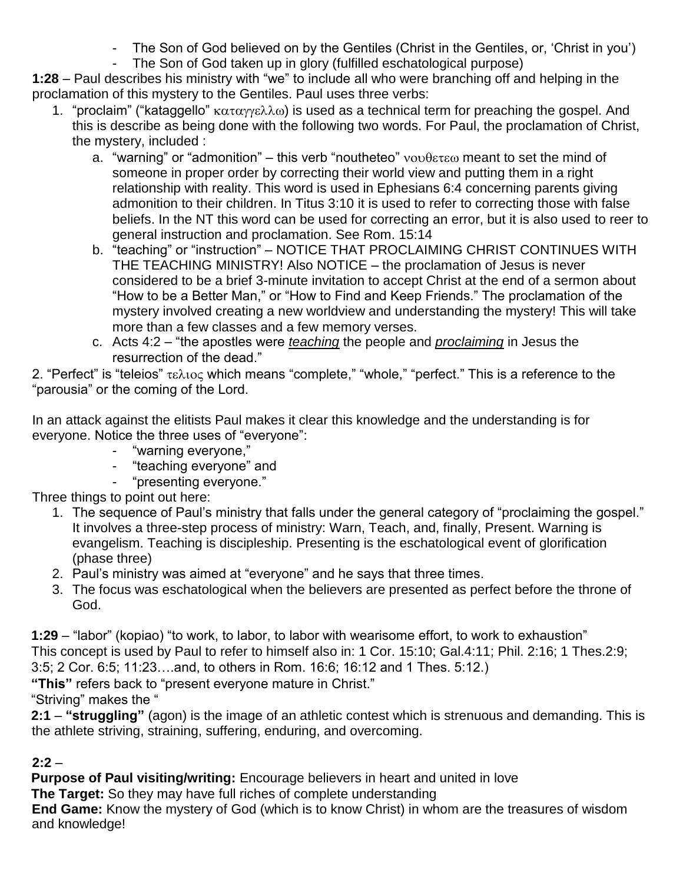- The Son of God believed on by the Gentiles (Christ in the Gentiles, or, 'Christ in you')
- The Son of God taken up in glory (fulfilled eschatological purpose)

**1:28** – Paul describes his ministry with "we" to include all who were branching off and helping in the proclamation of this mystery to the Gentiles. Paul uses three verbs:

- 1. "proclaim" ("kataggello"  $\kappa \alpha \tau \alpha \gamma \epsilon \lambda \lambda \omega$ ) is used as a technical term for preaching the gospel. And this is describe as being done with the following two words. For Paul, the proclamation of Christ, the mystery, included :
	- a. "warning" or "admonition" this verb "noutheteo"  $\nu$ ovθετεω meant to set the mind of someone in proper order by correcting their world view and putting them in a right relationship with reality. This word is used in Ephesians 6:4 concerning parents giving admonition to their children. In Titus 3:10 it is used to refer to correcting those with false beliefs. In the NT this word can be used for correcting an error, but it is also used to reer to general instruction and proclamation. See Rom. 15:14
	- b. "teaching" or "instruction" NOTICE THAT PROCLAIMING CHRIST CONTINUES WITH THE TEACHING MINISTRY! Also NOTICE – the proclamation of Jesus is never considered to be a brief 3-minute invitation to accept Christ at the end of a sermon about "How to be a Better Man," or "How to Find and Keep Friends." The proclamation of the mystery involved creating a new worldview and understanding the mystery! This will take more than a few classes and a few memory verses.
	- c. Acts 4:2 "the apostles were *teaching* the people and *proclaiming* in Jesus the resurrection of the dead."

2. "Perfect" is "teleios"  $\tau \in \lambda$  to which means "complete," "whole," "perfect." This is a reference to the "parousia" or the coming of the Lord.

In an attack against the elitists Paul makes it clear this knowledge and the understanding is for everyone. Notice the three uses of "everyone":

- "warning everyone,"
- "teaching everyone" and
- "presenting everyone."

Three things to point out here:

- 1. The sequence of Paul's ministry that falls under the general category of "proclaiming the gospel." It involves a three-step process of ministry: Warn, Teach, and, finally, Present. Warning is evangelism. Teaching is discipleship. Presenting is the eschatological event of glorification (phase three)
- 2. Paul's ministry was aimed at "everyone" and he says that three times.
- 3. The focus was eschatological when the believers are presented as perfect before the throne of God.

**1:29** – "labor" (kopiao) "to work, to labor, to labor with wearisome effort, to work to exhaustion" This concept is used by Paul to refer to himself also in: 1 Cor. 15:10; Gal.4:11; Phil. 2:16; 1 Thes.2:9; 3:5; 2 Cor. 6:5; 11:23….and, to others in Rom. 16:6; 16:12 and 1 Thes. 5:12.)

**"This"** refers back to "present everyone mature in Christ."

"Striving" makes the "

**2:1** – **"struggling"** (agon) is the image of an athletic contest which is strenuous and demanding. This is the athlete striving, straining, suffering, enduring, and overcoming.

## $2:2 -$

**Purpose of Paul visiting/writing:** Encourage believers in heart and united in love

**The Target:** So they may have full riches of complete understanding

**End Game:** Know the mystery of God (which is to know Christ) in whom are the treasures of wisdom and knowledge!